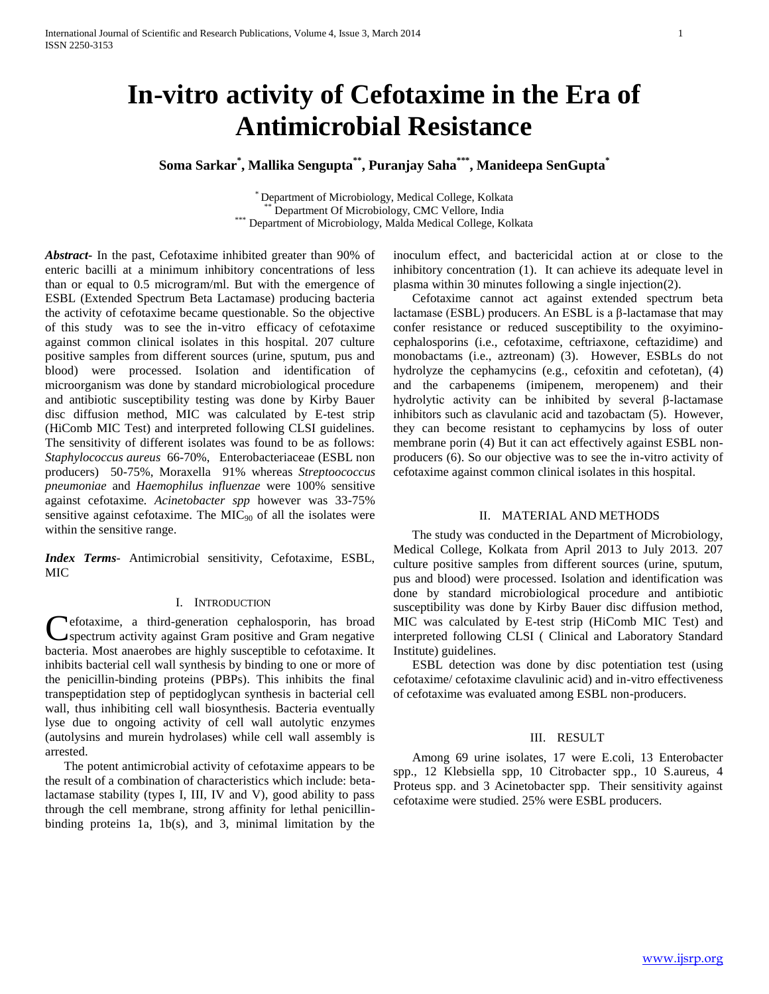# **In-vitro activity of Cefotaxime in the Era of Antimicrobial Resistance**

**Soma Sarkar\* , Mallika Sengupta\*\*, Puranjay Saha\*\*\*, Manideepa SenGupta\***

\* Department of Microbiology, Medical College, Kolkata Department Of Microbiology, CMC Vellore, India \*\*\* Department of Microbiology, Malda Medical College, Kolkata

*Abstract***-** In the past, Cefotaxime inhibited greater than 90% of enteric bacilli at a minimum inhibitory concentrations of less than or equal to 0.5 microgram/ml. But with the emergence of ESBL (Extended Spectrum Beta Lactamase) producing bacteria the activity of cefotaxime became questionable. So the objective of this study was to see the in-vitro efficacy of cefotaxime against common clinical isolates in this hospital. 207 culture positive samples from different sources (urine, sputum, pus and blood) were processed. Isolation and identification of microorganism was done by standard microbiological procedure and antibiotic susceptibility testing was done by Kirby Bauer disc diffusion method, MIC was calculated by E-test strip (HiComb MIC Test) and interpreted following CLSI guidelines. The sensitivity of different isolates was found to be as follows: *Staphylococcus aureus* 66-70%, Enterobacteriaceae (ESBL non producers) 50-75%, Moraxella 91% whereas *Streptoococcus pneumoniae* and *Haemophilus influenzae* were 100% sensitive against cefotaxime*. Acinetobacter spp* however was 33-75% sensitive against cefotaxime. The  $MIC<sub>90</sub>$  of all the isolates were within the sensitive range.

*Index Terms*- Antimicrobial sensitivity, Cefotaxime, ESBL, MIC

# I. INTRODUCTION

efotaxime, a third-generation cephalosporin, has broad spectrum activity against Gram positive and Gram negative Cefotaxime, a third-generation cephalosporin, has broad spectrum activity against Gram positive and Gram negative bacteria. Most anaerobes are highly susceptible to cefotaxime. It inhibits bacterial cell wall synthesis by binding to one or more of the penicillin-binding proteins (PBPs). This inhibits the final transpeptidation step of peptidoglycan synthesis in bacterial cell wall, thus inhibiting cell wall biosynthesis. Bacteria eventually lyse due to ongoing activity of cell wall autolytic enzymes (autolysins and murein hydrolases) while cell wall assembly is arrested.

 The potent antimicrobial activity of cefotaxime appears to be the result of a combination of characteristics which include: betalactamase stability (types I, III, IV and V), good ability to pass through the cell membrane, strong affinity for lethal penicillinbinding proteins 1a, 1b(s), and 3, minimal limitation by the

inoculum effect, and bactericidal action at or close to the inhibitory concentration (1). It can achieve its adequate level in plasma within 30 minutes following a single injection(2).

 Cefotaxime cannot act against extended spectrum beta lactamase (ESBL) producers. An ESBL is a β-lactamase that may confer resistance or reduced susceptibility to the oxyiminocephalosporins (i.e., cefotaxime, ceftriaxone, ceftazidime) and monobactams (i.e., aztreonam) (3). However, ESBLs do not hydrolyze the cephamycins (e.g., cefoxitin and cefotetan), (4) and the carbapenems (imipenem, meropenem) and their hydrolytic activity can be inhibited by several β-lactamase inhibitors such as clavulanic acid and tazobactam (5). However, they can become resistant to cephamycins by loss of outer membrane porin (4) But it can act effectively against ESBL nonproducers (6). So our objective was to see the in-vitro activity of cefotaxime against common clinical isolates in this hospital.

### II. MATERIAL AND METHODS

 The study was conducted in the Department of Microbiology, Medical College, Kolkata from April 2013 to July 2013. 207 culture positive samples from different sources (urine, sputum, pus and blood) were processed. Isolation and identification was done by standard microbiological procedure and antibiotic susceptibility was done by Kirby Bauer disc diffusion method, MIC was calculated by E-test strip (HiComb MIC Test) and interpreted following CLSI ( Clinical and Laboratory Standard Institute) guidelines.

 ESBL detection was done by disc potentiation test (using cefotaxime/ cefotaxime clavulinic acid) and in-vitro effectiveness of cefotaxime was evaluated among ESBL non-producers.

# III. RESULT

 Among 69 urine isolates, 17 were E.coli, 13 Enterobacter spp., 12 Klebsiella spp, 10 Citrobacter spp., 10 S.aureus, 4 Proteus spp. and 3 Acinetobacter spp. Their sensitivity against cefotaxime were studied. 25% were ESBL producers.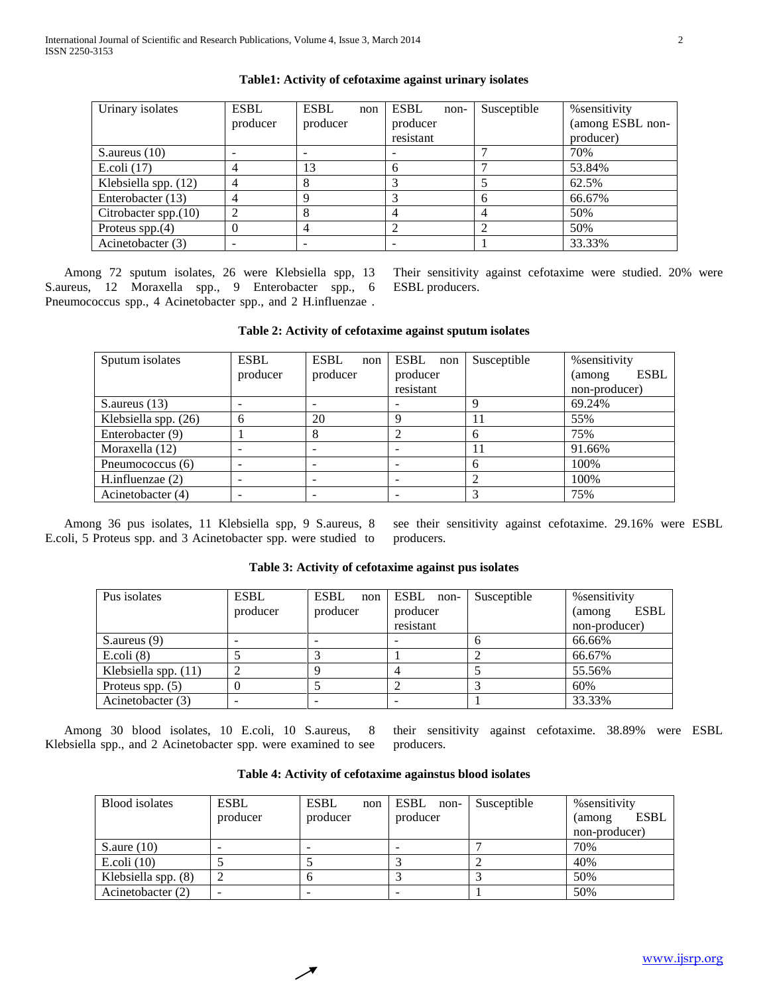| Urinary isolates        | <b>ESBL</b><br>producer | <b>ESBL</b><br>non<br>producer | <b>ESBL</b><br>non-<br>producer<br>resistant | Susceptible | % sensitivity<br>(among ESBL non-<br>producer) |
|-------------------------|-------------------------|--------------------------------|----------------------------------------------|-------------|------------------------------------------------|
| S. aureus $(10)$        |                         |                                | $\overline{\phantom{0}}$                     |             | 70%                                            |
| E.coli $(17)$           |                         | 13                             | 6                                            |             | 53.84%                                         |
| Klebsiella spp. (12)    |                         |                                |                                              |             | 62.5%                                          |
| Enterobacter (13)       |                         |                                |                                              |             | 66.67%                                         |
| Citrobacter spp. $(10)$ |                         |                                | 4                                            |             | 50%                                            |
| Proteus spp. $(4)$      |                         |                                |                                              |             | 50%                                            |
| Acinetobacter (3)       |                         |                                |                                              |             | 33.33%                                         |

# **Table1: Activity of cefotaxime against urinary isolates**

 Among 72 sputum isolates, 26 were Klebsiella spp, 13 S.aureus, 12 Moraxella spp., 9 Enterobacter spp., 6 Pneumococcus spp., 4 Acinetobacter spp., and 2 H.influenzae .

Their sensitivity against cefotaxime were studied. 20% were ESBL producers.

### **Table 2: Activity of cefotaxime against sputum isolates**

| Sputum isolates      | <b>ESBL</b><br>producer | <b>ESBL</b><br>non<br>producer | ESBL non<br>producer<br>resistant | Susceptible | % sensitivity<br><b>ESBL</b><br>(among)<br>non-producer) |
|----------------------|-------------------------|--------------------------------|-----------------------------------|-------------|----------------------------------------------------------|
| S. aureus $(13)$     |                         |                                |                                   |             | 69.24%                                                   |
| Klebsiella spp. (26) | h                       | 20                             |                                   |             | 55%                                                      |
| Enterobacter (9)     |                         | 8                              |                                   | h           | 75%                                                      |
| Moraxella (12)       |                         |                                |                                   | 11          | 91.66%                                                   |
| Pneumococcus (6)     |                         |                                |                                   |             | 100%                                                     |
| H.influenzae $(2)$   |                         |                                |                                   |             | 100%                                                     |
| Acinetobacter (4)    |                         |                                |                                   |             | 75%                                                      |

 Among 36 pus isolates, 11 Klebsiella spp, 9 S.aureus, 8 E.coli, 5 Proteus spp. and 3 Acinetobacter spp. were studied to see their sensitivity against cefotaxime. 29.16% were ESBL producers.

|  |  | Table 3: Activity of cefotaxime against pus isolates |
|--|--|------------------------------------------------------|
|--|--|------------------------------------------------------|

| Pus isolates         | <b>ESBL</b> | ESBL<br>non | ESBL non- | Susceptible | % sensitivity          |
|----------------------|-------------|-------------|-----------|-------------|------------------------|
|                      | producer    | producer    | producer  |             | <b>ESBL</b><br>(among) |
|                      |             |             | resistant |             | non-producer)          |
| $S$ . aureus $(9)$   |             |             |           |             | 66.66%                 |
| $E.$ coli $(8)$      |             |             |           |             | 66.67%                 |
| Klebsiella spp. (11) |             |             |           |             | 55.56%                 |
| Proteus spp. $(5)$   |             |             |           |             | 60%                    |
| Acinetobacter (3)    |             |             |           |             | 33.33%                 |

 Among 30 blood isolates, 10 E.coli, 10 S.aureus, 8 Klebsiella spp., and 2 Acinetobacter spp. were examined to see their sensitivity against cefotaxime. 38.89% were ESBL producers.

| Blood isolates      | <b>ESBL</b> | <b>ESBL</b><br>non | ESBL<br>non- | Susceptible | % sensitivity          |
|---------------------|-------------|--------------------|--------------|-------------|------------------------|
|                     | producer    | producer           | producer     |             | <b>ESBL</b><br>(among) |
|                     |             |                    |              |             | non-producer)          |
| S.aure $(10)$       |             |                    |              |             | 70%                    |
| E.coli $(10)$       |             |                    |              |             | 40%                    |
| Klebsiella spp. (8) |             |                    |              |             | 50%                    |
| Acinetobacter (2)   |             |                    |              |             | 50%                    |

**Table 4: Activity of cefotaxime againstus blood isolates**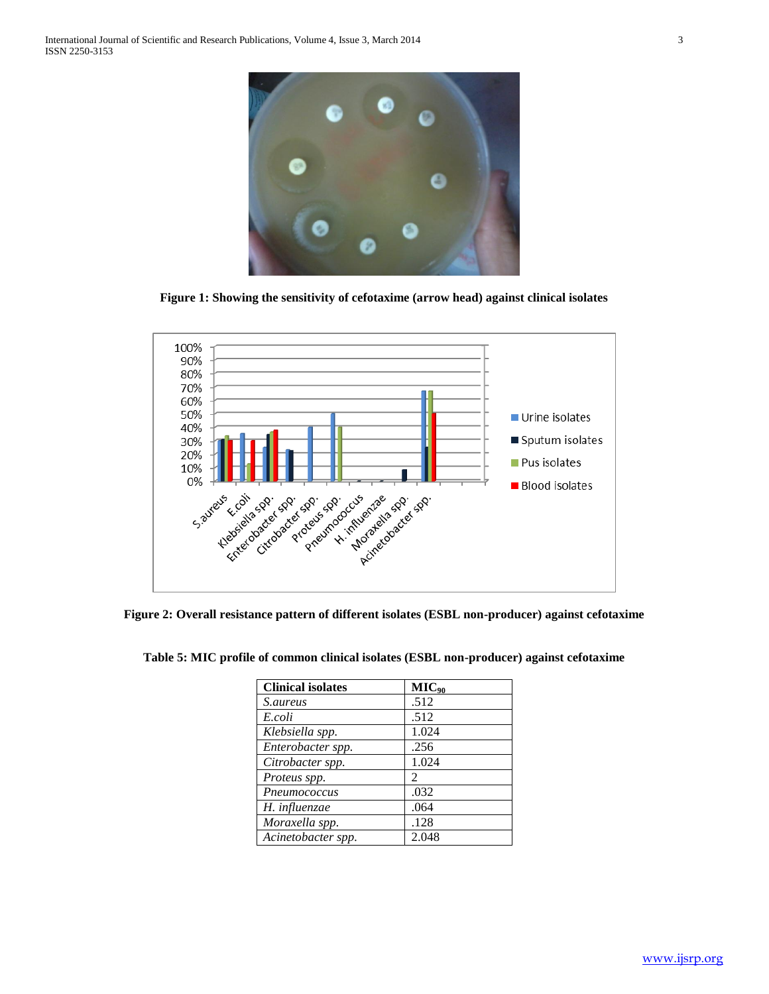

**Figure 1: Showing the sensitivity of cefotaxime (arrow head) against clinical isolates**



**Figure 2: Overall resistance pattern of different isolates (ESBL non-producer) against cefotaxime**

| <b>Clinical isolates</b> | $MIC_{90}$                  |
|--------------------------|-----------------------------|
| <i>S.aureus</i>          | .512                        |
| E.coli                   | .512                        |
| Klebsiella spp.          | 1.024                       |
| Enterobacter spp.        | .256                        |
| Citrobacter spp.         | 1.024                       |
| Proteus spp.             | $\mathcal{D}_{\mathcal{L}}$ |
| Pneumococcus             | .032                        |
| H. influenzae            | .064                        |
| Moraxella spp.           | .128                        |
| Acinetobacter spp.       | 2.048                       |

**Table 5: MIC profile of common clinical isolates (ESBL non-producer) against cefotaxime**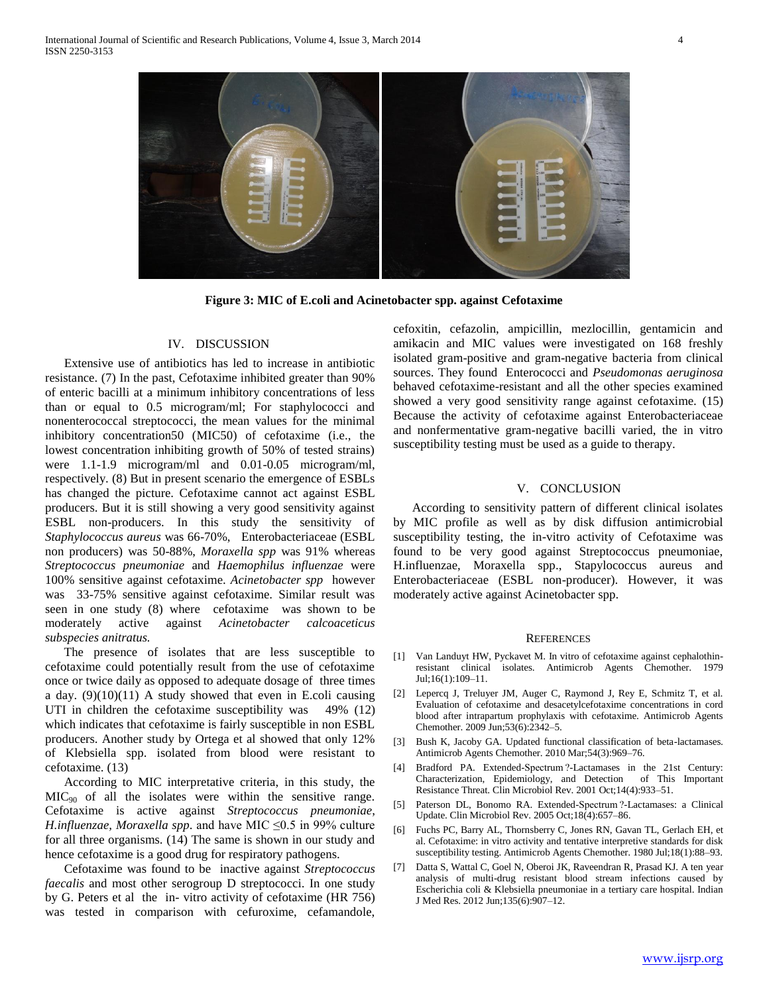

**Figure 3: MIC of E.coli and Acinetobacter spp. against Cefotaxime**

# IV. DISCUSSION

 Extensive use of antibiotics has led to increase in antibiotic resistance. (7) In the past, Cefotaxime inhibited greater than 90% of enteric bacilli at a minimum inhibitory concentrations of less than or equal to 0.5 microgram/ml; For staphylococci and nonenterococcal streptococci, the mean values for the minimal inhibitory concentration50 (MIC50) of cefotaxime (i.e., the lowest concentration inhibiting growth of 50% of tested strains) were 1.1-1.9 microgram/ml and 0.01-0.05 microgram/ml, respectively. (8) But in present scenario the emergence of ESBLs has changed the picture. Cefotaxime cannot act against ESBL producers. But it is still showing a very good sensitivity against ESBL non-producers. In this study the sensitivity of *Staphylococcus aureus* was 66-70%, Enterobacteriaceae (ESBL non producers) was 50-88%, *Moraxella spp* was 91% whereas *Streptococcus pneumoniae* and *Haemophilus influenzae* were 100% sensitive against cefotaxime. *Acinetobacter spp* however was 33-75% sensitive against cefotaxime. Similar result was seen in one study (8) where cefotaxime was shown to be moderately active against *Acinetobacter calcoaceticus subspecies anitratus.*

 The presence of isolates that are less susceptible to cefotaxime could potentially result from the use of cefotaxime once or twice daily as opposed to adequate dosage of three times a day.  $(9)(10)(11)$  A study showed that even in E.coli causing UTI in children the cefotaxime susceptibility was 49% (12) which indicates that cefotaxime is fairly susceptible in non ESBL producers. Another study by Ortega et al showed that only 12% of Klebsiella spp. isolated from blood were resistant to cefotaxime. (13)

 According to MIC interpretative criteria, in this study, the  $MIC<sub>90</sub>$  of all the isolates were within the sensitive range. Cefotaxime is active against *Streptococcus pneumoniae*, *H.influenzae, Moraxella spp.* and have MIC ≤0.5 in 99% culture for all three organisms. (14) The same is shown in our study and hence cefotaxime is a good drug for respiratory pathogens.

 Cefotaxime was found to be inactive against *Streptococcus faecalis* and most other serogroup D streptococci. In one study by G. Peters et al the in- vitro activity of cefotaxime (HR 756) was tested in comparison with cefuroxime, cefamandole,

cefoxitin, cefazolin, ampicillin, mezlocillin, gentamicin and amikacin and MIC values were investigated on 168 freshly isolated gram-positive and gram-negative bacteria from clinical sources. They found Enterococci and *Pseudomonas aeruginosa*  behaved cefotaxime-resistant and all the other species examined showed a very good sensitivity range against cefotaxime. (15) Because the activity of cefotaxime against Enterobacteriaceae and nonfermentative gram-negative bacilli varied, the in vitro susceptibility testing must be used as a guide to therapy.

#### V. CONCLUSION

 According to sensitivity pattern of different clinical isolates by MIC profile as well as by disk diffusion antimicrobial susceptibility testing, the in-vitro activity of Cefotaxime was found to be very good against Streptococcus pneumoniae, H.influenzae, Moraxella spp., Stapylococcus aureus and Enterobacteriaceae (ESBL non-producer). However, it was moderately active against Acinetobacter spp.

#### **REFERENCES**

- [1] Van Landuyt HW, Pyckavet M. In vitro of cefotaxime against cephalothinresistant clinical isolates. Antimicrob Agents Chemother. 1979 Jul;16(1):109–11.
- [2] Lepercq J, Treluyer JM, Auger C, Raymond J, Rey E, Schmitz T, et al. Evaluation of cefotaxime and desacetylcefotaxime concentrations in cord blood after intrapartum prophylaxis with cefotaxime. Antimicrob Agents Chemother. 2009 Jun;53(6):2342–5.
- [3] Bush K, Jacoby GA. Updated functional classification of beta-lactamases. Antimicrob Agents Chemother. 2010 Mar;54(3):969–76.
- [4] Bradford PA. Extended-Spectrum ?-Lactamases in the 21st Century: Characterization, Epidemiology, and Detection of This Important Resistance Threat. Clin Microbiol Rev. 2001 Oct;14(4):933–51.
- [5] Paterson DL, Bonomo RA. Extended-Spectrum ?-Lactamases: a Clinical Update. Clin Microbiol Rev. 2005 Oct;18(4):657–86.
- [6] Fuchs PC, Barry AL, Thornsberry C, Jones RN, Gavan TL, Gerlach EH, et al. Cefotaxime: in vitro activity and tentative interpretive standards for disk susceptibility testing. Antimicrob Agents Chemother. 1980 Jul;18(1):88–93.
- [7] Datta S, Wattal C, Goel N, Oberoi JK, Raveendran R, Prasad KJ. A ten year analysis of multi-drug resistant blood stream infections caused by Escherichia coli & Klebsiella pneumoniae in a tertiary care hospital. Indian J Med Res. 2012 Jun;135(6):907–12.